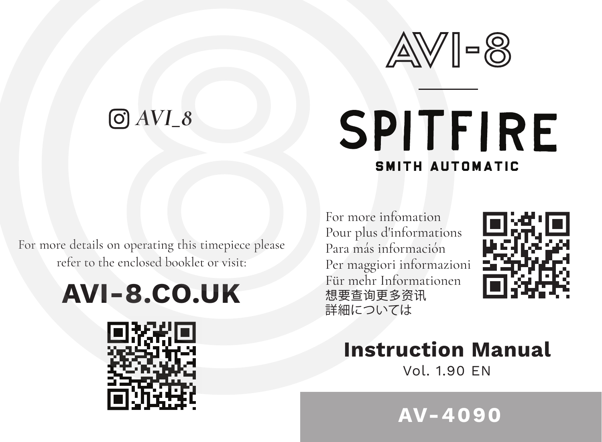

## *AVI\_8*

# **SPITFIRE** SMITH AUTOMATIC

For more details on operating this timepiece please refer to the enclosed booklet or visit:

## **AVI-8.CO.UK**



For more infomation Pour plus d'informations Para más información Per maggiori informazioni Für mehr Informationen 想要查询更多资讯 詳細については



### **Instruction Manual**

Vol. 1.90 EN

**AV-4090**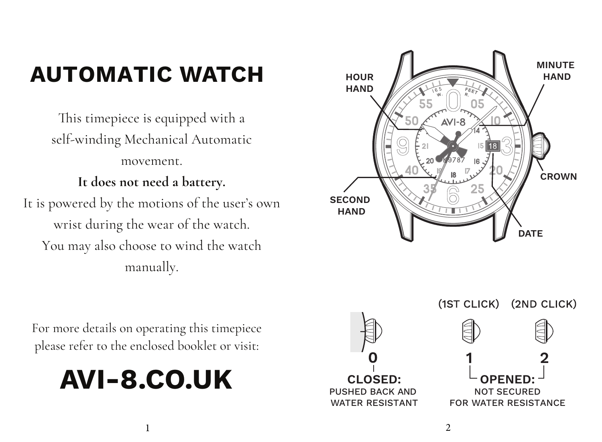### **AUTOMATIC WATCH**

This timepiece is equipped with a self-winding Mechanical Automatic movement.

#### **It does not need a battery.**

It is powered by the motions of the user's own wrist during the wear of the watch. You may also choose to wind the watch manually.



For more details on operating this timepiece please refer to the enclosed booklet or visit:

## **AVI-8.CO.UK**



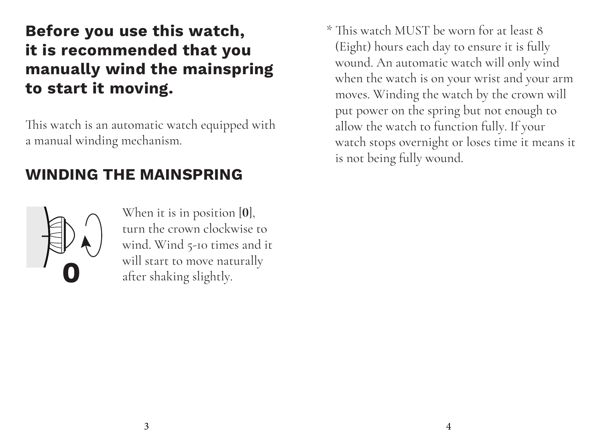### **Before you use this watch, it is recommended that you manually wind the mainspring to start it moving.**

This watch is an automatic watch equipped with a manual winding mechanism.

#### **WINDING THE MAINSPRING**



When it is in position [**0**], turn the crown clockwise to wind. Wind 5-10 times and it will start to move naturally after shaking slightly.

\* This watch MUST be worn for at least 8 (Eight) hours each day to ensure it is fully wound. An automatic watch will only wind when the watch is on your wrist and your arm moves. Winding the watch by the crown will put power on the spring but not enough to allow the watch to function fully. If your watch stops overnight or loses time it means it is not being fully wound.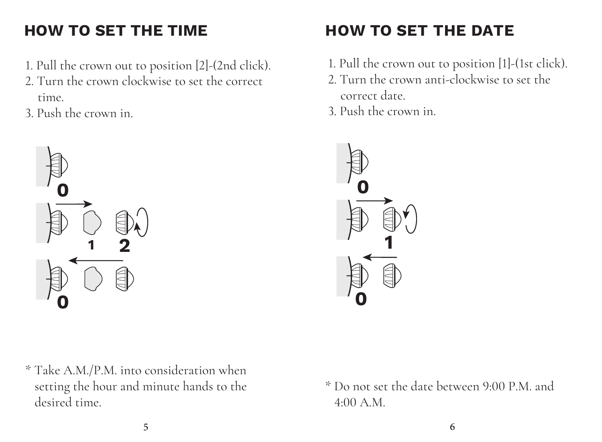### **HOW TO SET THE TIME**

- 1. Pull the crown out to position [2]-(2nd click).
- 2. Turn the crown clockwise to set the correct time.
- 3. Push the crown in.



- **HOW TO SET THE DATE**
- 1. Pull the crown out to position [1]-(1st click).
- 2. Turn the crown anti-clockwise to set the correct date.
- 3. Push the crown in.



\* Take A.M./P.M. into consideration when setting the hour and minute hands to the desired time.

\* Do not set the date between 9:00 P.M. and 4:00 A.M.